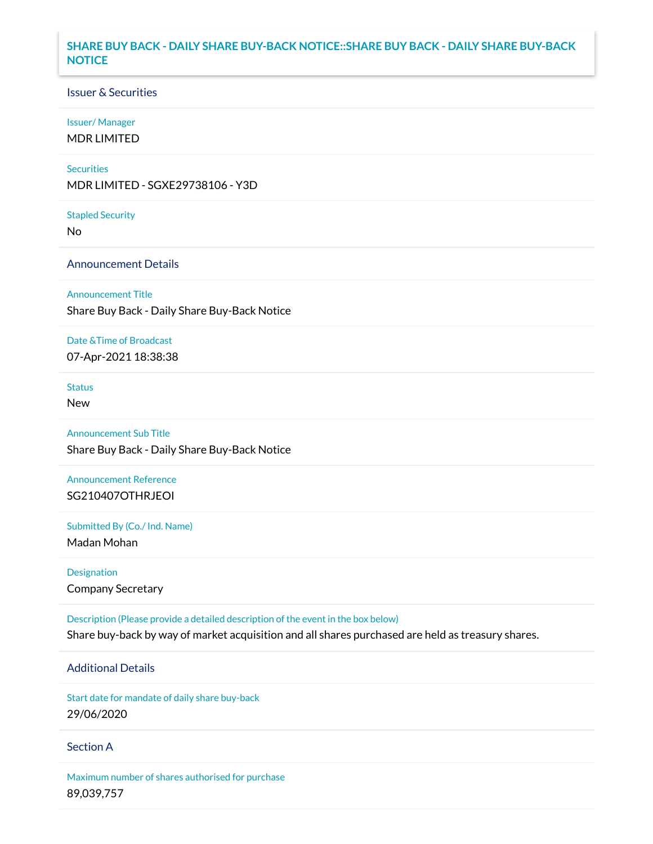## **SHARE BUY BACK - DAILY SHARE BUY-BACK NOTICE::SHARE BUY BACK - DAILY SHARE BUY-BACK NOTICE**

## Issuer & Securities

## Issuer/ Manager

MDR LIMITED

## **Securities**

MDR LIMITED - SGXE29738106 - Y3D

#### Stapled Security

No

## Announcement Details

### Announcement Title

Share Buy Back - Daily Share Buy-Back Notice

## Date &Time of Broadcast

07-Apr-2021 18:38:38

# **Status**

New

# Announcement Sub Title

Share Buy Back - Daily Share Buy-Back Notice

# Announcement Reference SG210407OTHRJEOI

Submitted By (Co./ Ind. Name)

Madan Mohan

# Designation Company Secretary

Description (Please provide a detailed description of the event in the box below) Share buy-back by way of market acquisition and all shares purchased are held as treasury shares.

# Additional Details

Start date for mandate of daily share buy-back 29/06/2020

## Section A

Maximum number of shares authorised for purchase 89,039,757